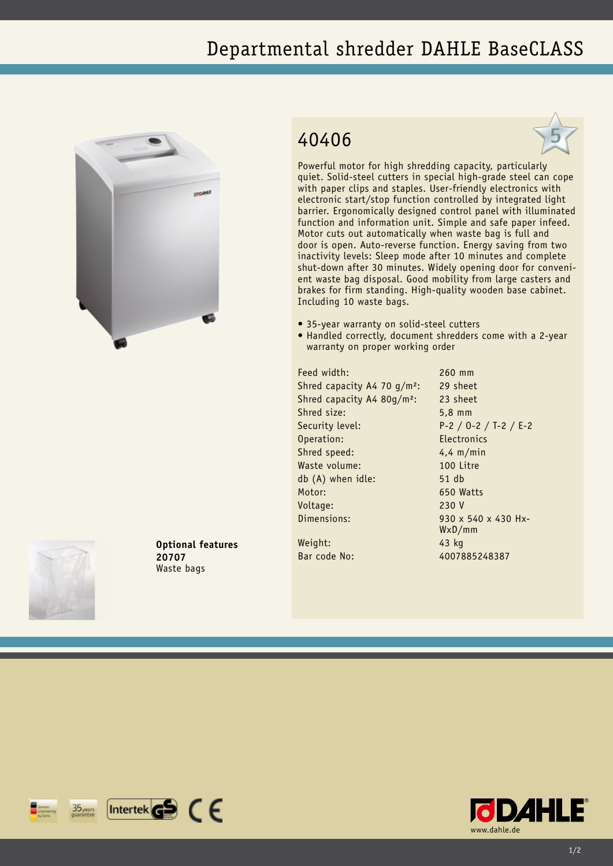## Departmental shredder DAHLE BaseCLASS



**Optional features**

**20707** Waste bags

## 40406



Powerful motor for high shredding capacity, particularly quiet. Solid-steel cutters in special high-grade steel can cope with paper clips and staples. User-friendly electronics with electronic start/stop function controlled by integrated light barrier. Ergonomically designed control panel with illuminated function and information unit. Simple and safe paper infeed. Motor cuts out automatically when waste bag is full and door is open. Auto-reverse function. Energy saving from two inactivity levels: Sleep mode after 10 minutes and complete shut-down after 30 minutes. Widely opening door for convenient waste bag disposal. Good mobility from large casters and brakes for firm standing. High-quality wooden base cabinet. Including 10 waste bags.

- 35-year warranty on solid-steel cutters
- Handled correctly, document shredders come with a 2-year warranty on proper working order

Feed width: 260 mm Shred capacity A4 70 g/m<sup>2</sup>: 29 sheet Shred capacity A4 80g/m²: 23 sheet Shred size: 5,8 mm Security level: P-2 / O-2 / T-2 / E-2 Operation: Electronics Shred speed: 4,4 m/min Waste volume: 100 Litre db (A) when idle: 51 db Motor: 650 Watts Voltage: 230 V Dimensions: 930 x 540 x 430 Hx-

WxD/mm



 $[$ Intertek $\mathbf{G}$  $\mathbf{S}$   $\in$   $\in$